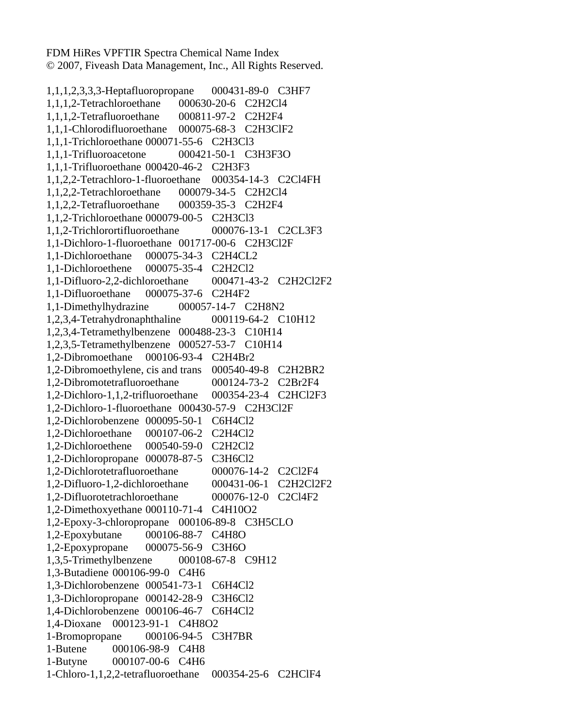FDM HiRes VPFTIR Spectra Chemical Name Index © 2007, Fiveash Data Management, Inc., All Rights Reserved.

1,1,1,2,3,3,3-Heptafluoropropane 000431-89-0 C3HF7 1,1,1,2-Tetrachloroethane 000630-20-6 C2H2Cl4 1,1,1,2-Tetrafluoroethane 000811-97-2 C2H2F4 1,1,1-Chlorodifluoroethane 000075-68-3 C2H3ClF2 1,1,1-Trichloroethane 000071-55-6 C2H3Cl3 1,1,1-Trifluoroacetone 000421-50-1 C3H3F3O 1,1,1-Trifluoroethane 000420-46-2 C2H3F3 1,1,2,2-Tetrachloro-1-fluoroethane 000354-14-3 C2Cl4FH 1,1,2,2-Tetrachloroethane 000079-34-5 C2H2Cl4 1,1,2,2-Tetrafluoroethane 000359-35-3 C2H2F4 1,1,2-Trichloroethane 000079-00-5 C2H3Cl3 1,1,2-Trichlorortifluoroethane 000076-13-1 C2CL3F3 1,1-Dichloro-1-fluoroethane 001717-00-6 C2H3Cl2F 1,1-Dichloroethane 000075-34-3 C2H4CL2 1,1-Dichloroethene 000075-35-4 C2H2Cl2 1,1-Difluoro-2,2-dichloroethane 000471-43-2 C2H2Cl2F2 1,1-Difluoroethane 000075-37-6 C2H4F2 1,1-Dimethylhydrazine 000057-14-7 C2H8N2 1,2,3,4-Tetrahydronaphthaline 000119-64-2 C10H12 1,2,3,4-Tetramethylbenzene 000488-23-3 C10H14 1,2,3,5-Tetramethylbenzene 000527-53-7 C10H14 1,2-Dibromoethane 000106-93-4 C2H4Br2 1,2-Dibromoethylene, cis and trans 000540-49-8 C2H2BR2 1,2-Dibromotetrafluoroethane 000124-73-2 C2Br2F4 1,2-Dichloro-1,1,2-trifluoroethane 000354-23-4 C2HCl2F3 1,2-Dichloro-1-fluoroethane 000430-57-9 C2H3Cl2F 1,2-Dichlorobenzene 000095-50-1 C6H4Cl2 1,2-Dichloroethane 000107-06-2 C2H4Cl2 1,2-Dichloroethene 000540-59-0 C2H2Cl2 1,2-Dichloropropane 000078-87-5 C3H6Cl2 1,2-Dichlorotetrafluoroethane 000076-14-2 C2Cl2F4 1,2-Difluoro-1,2-dichloroethane 000431-06-1 C2H2Cl2F2 1,2-Difluorotetrachloroethane 000076-12-0 C2Cl4F2 1,2-Dimethoxyethane 000110-71-4 C4H10O2 1,2-Epoxy-3-chloropropane 000106-89-8 C3H5CLO 1,2-Epoxybutane 000106-88-7 C4H8O 1,2-Epoxypropane 000075-56-9 C3H6O 1,3,5-Trimethylbenzene 000108-67-8 C9H12 1,3-Butadiene 000106-99-0 C4H6 1,3-Dichlorobenzene 000541-73-1 C6H4Cl2 1,3-Dichloropropane 000142-28-9 C3H6Cl2 1,4-Dichlorobenzene 000106-46-7 C6H4Cl2 1,4-Dioxane 000123-91-1 C4H8O2 1-Bromopropane 000106-94-5 C3H7BR 1-Butene 000106-98-9 C4H8 1-Butyne 000107-00-6 C4H6 1-Chloro-1,1,2,2-tetrafluoroethane 000354-25-6 C2HClF4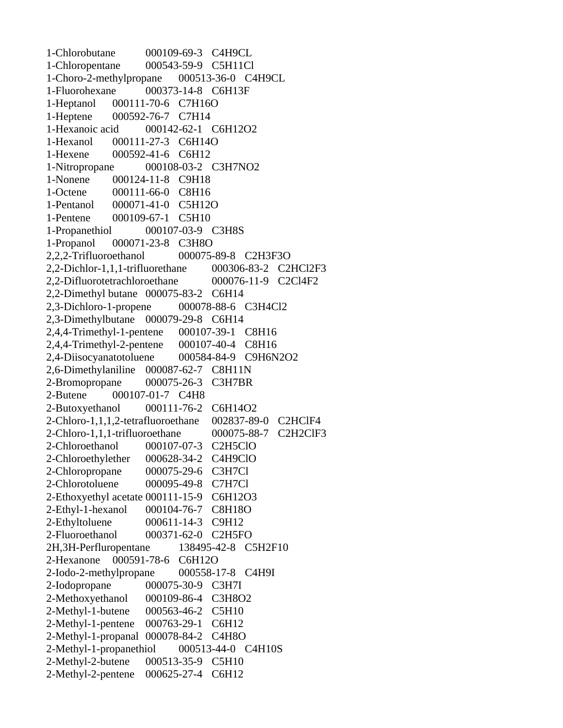1-Chlorobutane 000109-69-3 C4H9CL 1-Chloropentane 000543-59-9 C5H11Cl 1-Choro-2-methylpropane 000513-36-0 C4H9CL 1-Fluorohexane 000373-14-8 C6H13F 1-Heptanol 000111-70-6 C7H16O 1-Heptene 000592-76-7 C7H14 1-Hexanoic acid 000142-62-1 C6H12O2 1-Hexanol 000111-27-3 C6H14O 1-Hexene 000592-41-6 C6H12 1-Nitropropane 000108-03-2 C3H7NO2 1-Nonene 000124-11-8 C9H18 1-Octene 000111-66-0 C8H16 1-Pentanol 000071-41-0 C5H12O 1-Pentene 000109-67-1 C5H10 1-Propanethiol 000107-03-9 C3H8S 1-Propanol 000071-23-8 C3H8O 2,2,2-Trifluoroethanol 000075-89-8 C2H3F3O 2,2-Dichlor-1,1,1-trifluorethane 000306-83-2 C2HCl2F3 2,2-Difluorotetrachloroethane 000076-11-9 C2Cl4F2 2,2-Dimethyl butane 000075-83-2 C6H14 2,3-Dichloro-1-propene 000078-88-6 C3H4Cl2 2,3-Dimethylbutane 000079-29-8 C6H14 2,4,4-Trimethyl-1-pentene 000107-39-1 C8H16 2,4,4-Trimethyl-2-pentene 000107-40-4 C8H16 2,4-Diisocyanatotoluene 000584-84-9 C9H6N2O2 2,6-Dimethylaniline 000087-62-7 C8H11N 2-Bromopropane 000075-26-3 C3H7BR 2-Butene 000107-01-7 C4H8 2-Butoxyethanol 000111-76-2 C6H14O2 2-Chloro-1,1,1,2-tetrafluoroethane 002837-89-0 C2HClF4 2-Chloro-1,1,1-trifluoroethane 000075-88-7 C2H2ClF3 2-Chloroethanol 000107-07-3 C2H5ClO 2-Chloroethylether 000628-34-2 C4H9ClO 2-Chloropropane 000075-29-6 C3H7Cl 2-Chlorotoluene 000095-49-8 C7H7Cl 2-Ethoxyethyl acetate 000111-15-9 C6H12O3 2-Ethyl-1-hexanol 000104-76-7 C8H18O 2-Ethyltoluene 000611-14-3 C9H12 2-Fluoroethanol 000371-62-0 C2H5FO 2H,3H-Perfluropentane 138495-42-8 C5H2F10 2-Hexanone 000591-78-6 C6H12O 2-Iodo-2-methylpropane 000558-17-8 C4H9I 2-Iodopropane 000075-30-9 C3H7I 2-Methoxyethanol 000109-86-4 C3H8O2 2-Methyl-1-butene 000563-46-2 C5H10 2-Methyl-1-pentene 000763-29-1 C6H12 2-Methyl-1-propanal 000078-84-2 C4H8O 2-Methyl-1-propanethiol 000513-44-0 C4H10S 2-Methyl-2-butene 000513-35-9 C5H10 2-Methyl-2-pentene 000625-27-4 C6H12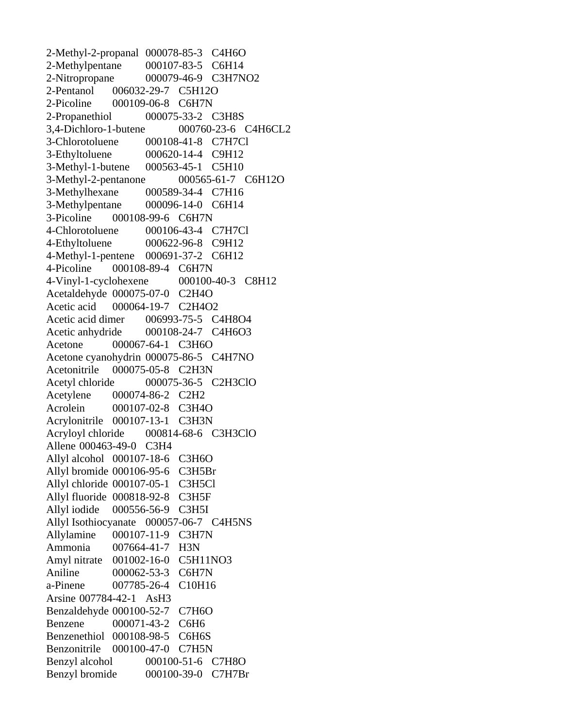2-Methyl-2-propanal 000078-85-3 C4H6O 2-Methylpentane 000107-83-5 C6H14 2-Nitropropane 000079-46-9 C3H7NO2 2-Pentanol 006032-29-7 C5H12O 2-Picoline 000109-06-8 C6H7N 2-Propanethiol 000075-33-2 C3H8S 3,4-Dichloro-1-butene 000760-23-6 C4H6CL2 3-Chlorotoluene 000108-41-8 C7H7Cl 3-Ethyltoluene 000620-14-4 C9H12 3-Methyl-1-butene 000563-45-1 C5H10 3-Methyl-2-pentanone 000565-61-7 C6H12O 3-Methylhexane 000589-34-4 C7H16 3-Methylpentane 000096-14-0 C6H14 3-Picoline 000108-99-6 C6H7N 4-Chlorotoluene 000106-43-4 C7H7Cl 4-Ethyltoluene 000622-96-8 C9H12 4-Methyl-1-pentene 000691-37-2 C6H12 4-Picoline 000108-89-4 C6H7N 4-Vinyl-1-cyclohexene 000100-40-3 C8H12 Acetaldehyde 000075-07-0 C2H4O Acetic acid 000064-19-7 C2H4O2 Acetic acid dimer 006993-75-5 C4H8O4 Acetic anhydride 000108-24-7 C4H6O3 Acetone 000067-64-1 C3H6O Acetone cyanohydrin 000075-86-5 C4H7NO Acetonitrile 000075-05-8 C2H3N Acetyl chloride 000075-36-5 C2H3ClO Acetylene 000074-86-2 C2H2 Acrolein 000107-02-8 C3H4O Acrylonitrile 000107-13-1 C3H3N Acryloyl chloride 000814-68-6 C3H3ClO Allene 000463-49-0 C3H4 Allyl alcohol 000107-18-6 C3H6O Allyl bromide 000106-95-6 C3H5Br Allyl chloride 000107-05-1 C3H5Cl Allyl fluoride 000818-92-8 C3H5F Allyl iodide 000556-56-9 C3H5I Allyl Isothiocyanate 000057-06-7 C4H5NS Allylamine 000107-11-9 C3H7N Ammonia 007664-41-7 H3N Amyl nitrate 001002-16-0 C5H11NO3 Aniline 000062-53-3 C6H7N a-Pinene 007785-26-4 C10H16 Arsine 007784-42-1 AsH3 Benzaldehyde 000100-52-7 C7H6O Benzene 000071-43-2 C6H6 Benzenethiol 000108-98-5 C6H6S Benzonitrile 000100-47-0 C7H5N Benzyl alcohol 000100-51-6 C7H8O Benzyl bromide 000100-39-0 C7H7Br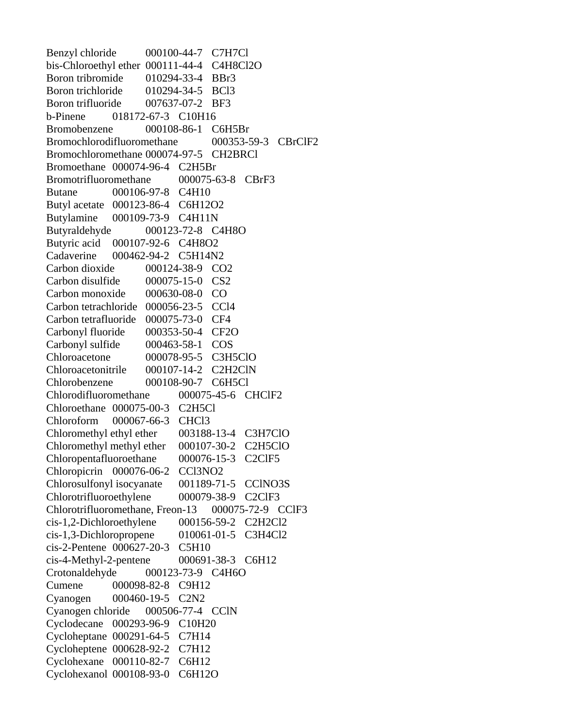Benzyl chloride 000100-44-7 C7H7Cl bis-Chloroethyl ether 000111-44-4 C4H8Cl2O Boron tribromide 010294-33-4 BBr3 Boron trichloride 010294-34-5 BCl3 Boron trifluoride 007637-07-2 BF3 b-Pinene 018172-67-3 C10H16 Bromobenzene 000108-86-1 C6H5Br Bromochlorodifluoromethane 000353-59-3 CBrClF2 Bromochloromethane 000074-97-5 CH2BRCl Bromoethane 000074-96-4 C2H5Br Bromotrifluoromethane 000075-63-8 CBrF3 Butane 000106-97-8 C4H10 Butyl acetate 000123-86-4 C6H12O2 Butylamine 000109-73-9 C4H11N Butyraldehyde 000123-72-8 C4H8O Butyric acid 000107-92-6 C4H8O2 Cadaverine 000462-94-2 C5H14N2 Carbon dioxide 000124-38-9 CO2 Carbon disulfide 000075-15-0 CS2 Carbon monoxide 000630-08-0 CO Carbon tetrachloride 000056-23-5 CCl4 Carbon tetrafluoride 000075-73-0 CF4 Carbonyl fluoride 000353-50-4 CF2O Carbonyl sulfide 000463-58-1 COS Chloroacetone 000078-95-5 C3H5ClO Chloroacetonitrile 000107-14-2 C2H2ClN Chlorobenzene 000108-90-7 C6H5Cl Chlorodifluoromethane 000075-45-6 CHClF2 Chloroethane 000075-00-3 C2H5Cl Chloroform 000067-66-3 CHCl3 Chloromethyl ethyl ether 003188-13-4 C3H7ClO Chloromethyl methyl ether 000107-30-2 C2H5ClO Chloropentafluoroethane 000076-15-3 C2ClF5 Chloropicrin 000076-06-2 CCl3NO2 Chlorosulfonyl isocyanate 001189-71-5 CClNO3S Chlorotrifluoroethylene 000079-38-9 C2ClF3 Chlorotrifluoromethane, Freon-13 000075-72-9 CClF3 cis-1,2-Dichloroethylene 000156-59-2 C2H2Cl2 cis-1,3-Dichloropropene 010061-01-5 C3H4Cl2 cis-2-Pentene 000627-20-3 C5H10 cis-4-Methyl-2-pentene 000691-38-3 C6H12 Crotonaldehyde 000123-73-9 C4H6O Cumene 000098-82-8 C9H12 Cyanogen 000460-19-5 C2N2 Cyanogen chloride 000506-77-4 CClN Cyclodecane 000293-96-9 C10H20 Cycloheptane 000291-64-5 C7H14 Cycloheptene 000628-92-2 C7H12 Cyclohexane 000110-82-7 C6H12 Cyclohexanol 000108-93-0 C6H12O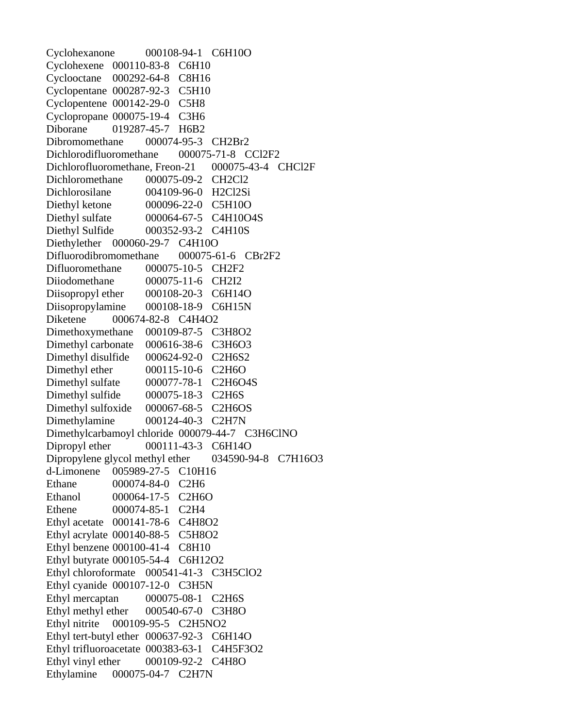Cyclohexanone 000108-94-1 C6H10O Cyclohexene 000110-83-8 C6H10 Cyclooctane 000292-64-8 C8H16 Cyclopentane 000287-92-3 C5H10 Cyclopentene 000142-29-0 C5H8 Cyclopropane 000075-19-4 C3H6 Diborane 019287-45-7 H6B2 Dibromomethane 000074-95-3 CH2Br2 Dichlorodifluoromethane 000075-71-8 CCl2F2 Dichlorofluoromethane, Freon-21 000075-43-4 CHCl2F Dichloromethane 000075-09-2 CH2Cl2 Dichlorosilane 004109-96-0 H2Cl2Si Diethyl ketone 000096-22-0 C5H10O Diethyl sulfate 000064-67-5 C4H10O4S Diethyl Sulfide 000352-93-2 C4H10S Diethylether 000060-29-7 C4H10O Difluorodibromomethane 000075-61-6 CBr2F2 Difluoromethane 000075-10-5 CH2F2 Diiodomethane 000075-11-6 CH2I2 Diisopropyl ether 000108-20-3 C6H14O Diisopropylamine 000108-18-9 C6H15N Diketene 000674-82-8 C4H4O2 Dimethoxymethane 000109-87-5 C3H8O2 Dimethyl carbonate 000616-38-6 C3H6O3 Dimethyl disulfide 000624-92-0 C2H6S2 Dimethyl ether 000115-10-6 C2H6O Dimethyl sulfate 000077-78-1 C2H6O4S Dimethyl sulfide 000075-18-3 C2H6S Dimethyl sulfoxide 000067-68-5 C2H6OS Dimethylamine 000124-40-3 C2H7N Dimethylcarbamoyl chloride 000079-44-7 C3H6ClNO Dipropyl ether 000111-43-3 C6H14O Dipropylene glycol methyl ether 034590-94-8 C7H16O3 d-Limonene 005989-27-5 C10H16 Ethane 000074-84-0 C2H6 Ethanol 000064-17-5 C2H6O Ethene 000074-85-1 C2H4 Ethyl acetate 000141-78-6 C4H8O2 Ethyl acrylate 000140-88-5 C5H8O2 Ethyl benzene 000100-41-4 C8H10 Ethyl butyrate 000105-54-4 C6H12O2 Ethyl chloroformate 000541-41-3 C3H5ClO2 Ethyl cyanide 000107-12-0 C3H5N Ethyl mercaptan 000075-08-1 C2H6S Ethyl methyl ether 000540-67-0 C3H8O Ethyl nitrite 000109-95-5 C2H5NO2 Ethyl tert-butyl ether 000637-92-3 C6H14O Ethyl trifluoroacetate 000383-63-1 C4H5F3O2 Ethyl vinyl ether 000109-92-2 C4H8O Ethylamine 000075-04-7 C2H7N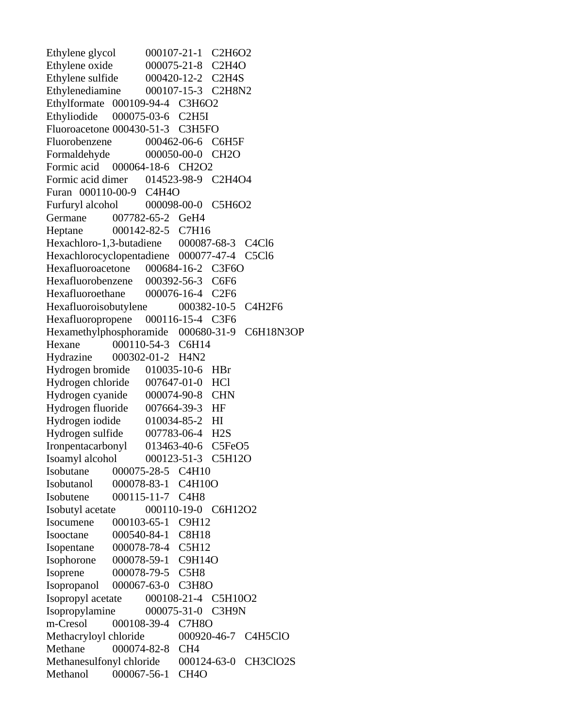Ethylene glycol 000107-21-1 C2H6O2 Ethylene oxide 000075-21-8 C2H4O Ethylene sulfide  $000420-12-2$  C2H4S Ethylenediamine 000107-15-3 C2H8N2 Ethylformate 000109-94-4 C3H6O2 Ethyliodide 000075-03-6 C2H5I Fluoroacetone 000430-51-3 C3H5FO Fluorobenzene 000462-06-6 C6H5F Formaldehyde 000050-00-0 CH2O Formic acid 000064-18-6 CH2O2 Formic acid dimer 014523-98-9 C2H4O4 Furan 000110-00-9 C4H4O Furfuryl alcohol 000098-00-0 C5H6O2 Germane 007782-65-2 GeH4 Heptane 000142-82-5 C7H16 Hexachloro-1,3-butadiene 000087-68-3 C4Cl6 Hexachlorocyclopentadiene 000077-47-4 C5Cl6 Hexafluoroacetone 000684-16-2 C3F6O Hexafluorobenzene 000392-56-3 C6F6 Hexafluoroethane 000076-16-4 C2F6 Hexafluoroisobutylene 000382-10-5 C4H2F6 Hexafluoropropene 000116-15-4 C3F6 Hexamethylphosphoramide 000680-31-9 C6H18N3OP Hexane 000110-54-3 C6H14 Hydrazine 000302-01-2 H4N2 Hydrogen bromide 010035-10-6 HBr Hydrogen chloride 007647-01-0 HCl Hydrogen cyanide 000074-90-8 CHN Hydrogen fluoride 007664-39-3 HF Hydrogen iodide 010034-85-2 HI Hydrogen sulfide 007783-06-4 H2S Ironpentacarbonyl 013463-40-6 C5FeO5 Isoamyl alcohol 000123-51-3 C5H12O Isobutane 000075-28-5 C4H10 Isobutanol 000078-83-1 C4H10O Isobutene 000115-11-7 C4H8 Isobutyl acetate 000110-19-0 C6H12O2 Isocumene 000103-65-1 C9H12 Isooctane 000540-84-1 C8H18 Isopentane 000078-78-4 C5H12 Isophorone 000078-59-1 C9H14O Isoprene 000078-79-5 C5H8 Isopropanol 000067-63-0 C3H8O Isopropyl acetate 000108-21-4 C5H10O2 Isopropylamine 000075-31-0 C3H9N m-Cresol 000108-39-4 C7H8O Methacryloyl chloride 000920-46-7 C4H5ClO Methane 000074-82-8 CH4 Methanesulfonyl chloride 000124-63-0 CH3ClO2S Methanol 000067-56-1 CH4O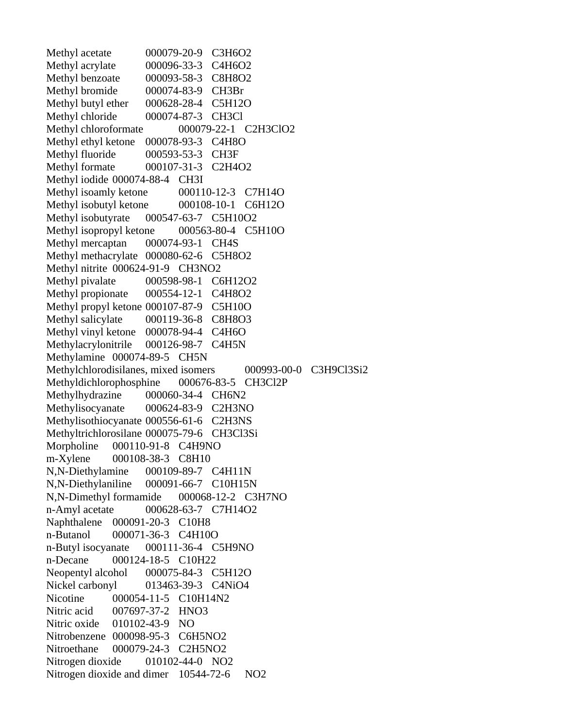Methyl acetate 000079-20-9 C3H6O2<br>Methyl acrylate 000096-33-3 C4H6O2 000096-33-3 C4H6O2 Methyl benzoate 000093-58-3 C8H8O2 Methyl bromide 000074-83-9 CH3Br Methyl butyl ether 000628-28-4 C5H12O Methyl chloride 000074-87-3 CH3Cl Methyl chloroformate  $000079-22-1$  C2H3ClO2 Methyl ethyl ketone 000078-93-3 C4H8O Methyl fluoride 000593-53-3 CH3F Methyl formate 000107-31-3 C2H4O2 Methyl iodide 000074-88-4 CH3I Methyl isoamly ketone 000110-12-3 C7H14O Methyl isobutyl ketone 000108-10-1 C6H12O Methyl isobutyrate 000547-63-7 C5H10O2 Methyl isopropyl ketone 000563-80-4 C5H10O Methyl mercaptan 000074-93-1 CH4S Methyl methacrylate 000080-62-6 C5H8O2 Methyl nitrite 000624-91-9 CH3NO2 Methyl pivalate 000598-98-1 C6H12O2 Methyl propionate 000554-12-1 C4H8O2 Methyl propyl ketone 000107-87-9 C5H10O Methyl salicylate 000119-36-8 C8H8O3 Methyl vinyl ketone 000078-94-4 C4H6O Methylacrylonitrile 000126-98-7 C4H5N Methylamine 000074-89-5 CH5N Methylchlorodisilanes, mixed isomers 000993-00-0 C3H9Cl3Si2 Methyldichlorophosphine 000676-83-5 CH3Cl2P Methylhydrazine 000060-34-4 CH6N2 Methylisocyanate 000624-83-9 C2H3NO Methylisothiocyanate 000556-61-6 C2H3NS Methyltrichlorosilane 000075-79-6 CH3Cl3Si Morpholine 000110-91-8 C4H9NO m-Xylene 000108-38-3 C8H10 N,N-Diethylamine 000109-89-7 C4H11N N,N-Diethylaniline 000091-66-7 C10H15N N,N-Dimethyl formamide 000068-12-2 C3H7NO n-Amyl acetate 000628-63-7 C7H14O2 Naphthalene 000091-20-3 C10H8 n-Butanol 000071-36-3 C4H10O n-Butyl isocyanate 000111-36-4 C5H9NO n-Decane 000124-18-5 C10H22 Neopentyl alcohol 000075-84-3 C5H12O Nickel carbonyl 013463-39-3 C4NiO4 Nicotine 000054-11-5 C10H14N2 Nitric acid 007697-37-2 HNO3 Nitric oxide 010102-43-9 NO Nitrobenzene 000098-95-3 C6H5NO2 Nitroethane 000079-24-3 C2H5NO2 Nitrogen dioxide 010102-44-0 NO2 Nitrogen dioxide and dimer 10544-72-6 NO2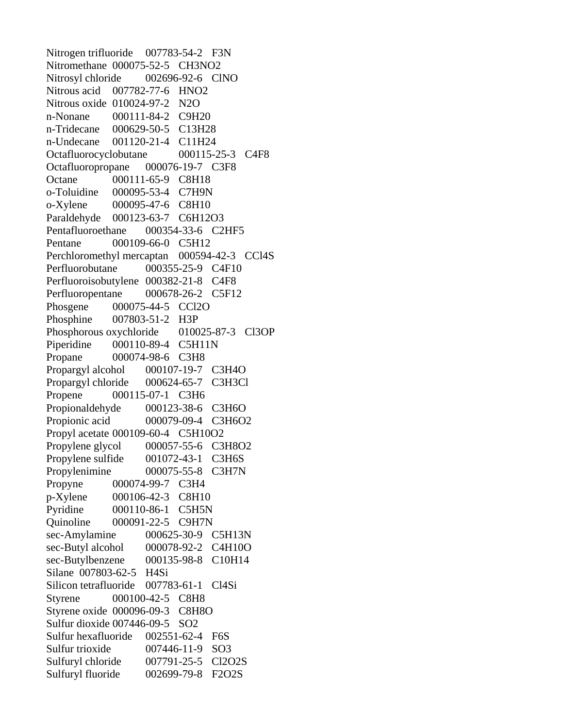Nitrogen trifluoride 007783-54-2 F3N Nitromethane 000075-52-5 CH3NO2 Nitrosyl chloride 002696-92-6 ClNO Nitrous acid 007782-77-6 HNO2 Nitrous oxide 010024-97-2 N2O n-Nonane 000111-84-2 C9H20 n-Tridecane 000629-50-5 C13H28 n-Undecane 001120-21-4 C11H24 Octafluorocyclobutane 000115-25-3 C4F8 Octafluoropropane 000076-19-7 C3F8 Octane 000111-65-9 C8H18 o-Toluidine 000095-53-4 C7H9N o-Xylene 000095-47-6 C8H10 Paraldehyde 000123-63-7 C6H12O3 Pentafluoroethane 000354-33-6 C2HF5 Pentane 000109-66-0 C5H12 Perchloromethyl mercaptan 000594-42-3 CCl4S Perfluorobutane 000355-25-9 C4F10 Perfluoroisobutylene 000382-21-8 C4F8 Perfluoropentane 000678-26-2 C5F12 Phosgene 000075-44-5 CCl2O Phosphine 007803-51-2 H3P Phosphorous oxychloride 010025-87-3 Cl3OP Piperidine 000110-89-4 C5H11N Propane 000074-98-6 C3H8 Propargyl alcohol 000107-19-7 C3H4O Propargyl chloride 000624-65-7 C3H3Cl Propene 000115-07-1 C3H6 Propionaldehyde 000123-38-6 C3H6O Propionic acid 000079-09-4 C3H6O2 Propyl acetate 000109-60-4 C5H10O2 Propylene glycol 000057-55-6 C3H8O2 Propylene sulfide 001072-43-1 C3H6S Propylenimine 000075-55-8 C3H7N Propyne 000074-99-7 C3H4 p-Xylene 000106-42-3 C8H10 Pyridine 000110-86-1 C5H5N Quinoline 000091-22-5 C9H7N sec-Amylamine 000625-30-9 C5H13N sec-Butyl alcohol 000078-92-2 C4H10O sec-Butylbenzene 000135-98-8 C10H14 Silane 007803-62-5 H4Si Silicon tetrafluoride 007783-61-1 Cl4Si Styrene 000100-42-5 C8H8 Styrene oxide 000096-09-3 C8H8O Sulfur dioxide 007446-09-5 SO2 Sulfur hexafluoride 002551-62-4 F6S Sulfur trioxide  $007446-11-9$  SO3 Sulfuryl chloride 007791-25-5 Cl2O2S Sulfuryl fluoride 002699-79-8 F2O2S